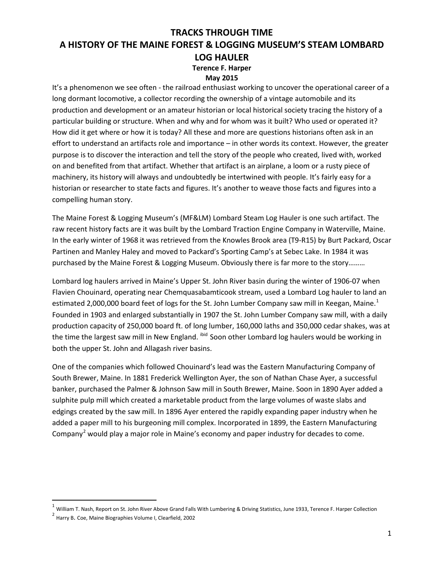#### **May 2015**

It's a phenomenon we see often - the railroad enthusiast working to uncover the operational career of a long dormant locomotive, a collector recording the ownership of a vintage automobile and its production and development or an amateur historian or local historical society tracing the history of a particular building or structure. When and why and for whom was it built? Who used or operated it? How did it get where or how it is today? All these and more are questions historians often ask in an effort to understand an artifacts role and importance – in other words its context. However, the greater purpose is to discover the interaction and tell the story of the people who created, lived with, worked on and benefited from that artifact. Whether that artifact is an airplane, a loom or a rusty piece of machinery, its history will always and undoubtedly be intertwined with people. It's fairly easy for a historian or researcher to state facts and figures. It's another to weave those facts and figures into a compelling human story.

The Maine Forest & Logging Museum's (MF&LM) Lombard Steam Log Hauler is one such artifact. The raw recent history facts are it was built by the Lombard Traction Engine Company in Waterville, Maine. In the early winter of 1968 it was retrieved from the Knowles Brook area (T9-R15) by Burt Packard, Oscar Partinen and Manley Haley and moved to Packard's Sporting Camp's at Sebec Lake. In 1984 it was purchased by the Maine Forest & Logging Museum. Obviously there is far more to the story………

Lombard log haulers arrived in Maine's Upper St. John River basin during the winter of 1906-07 when Flavien Chouinard, operating near Chemquasabamticook stream, used a Lombard Log hauler to land an estimated 2,000,000 board feet of logs for the St. John Lumber Company saw mill in Keegan, Maine.<sup>[1](#page-0-0)</sup> Founded in 1903 and enlarged substantially in 1907 the St. John Lumber Company saw mill, with a daily production capacity of 250,000 board ft. of long lumber, 160,000 laths and 350,000 cedar shakes, was at the time the largest saw mill in New England. <sup>ibid</sup> Soon other Lombard log haulers would be working in both the upper St. John and Allagash river basins.

One of the companies which followed Chouinard's lead was the Eastern Manufacturing Company of South Brewer, Maine. In 1881 Frederick Wellington Ayer, the son of Nathan Chase Ayer, a successful banker, purchased the Palmer & Johnson Saw mill in South Brewer, Maine. Soon in 1890 Ayer added a sulphite pulp mill which created a marketable product from the large volumes of waste slabs and edgings created by the saw mill. In 1896 Ayer entered the rapidly expanding paper industry when he added a paper mill to his burgeoning mill complex. Incorporated in 1899, the Eastern Manufacturing Company<sup>[2](#page-0-1)</sup> would play a major role in Maine's economy and paper industry for decades to come.

<span id="page-0-0"></span> $1$  William T. Nash, Report on St. John River Above Grand Falls With Lumbering & Driving Statistics, June 1933, Terence F. Harper Collection

<span id="page-0-1"></span><sup>2</sup> Harry B. Coe, Maine Biographies Volume I, Clearfield, 2002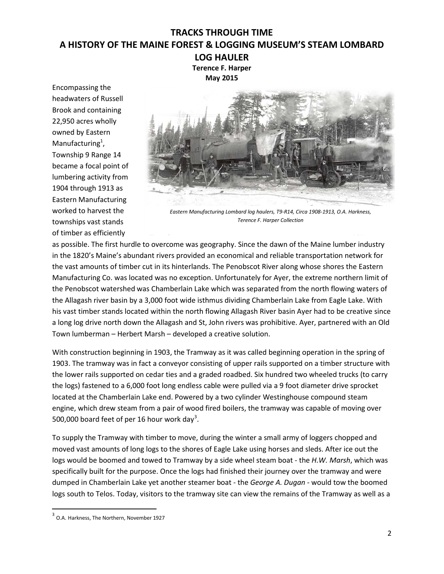**Terence F. Harper May 2015**

Encompassing the headwaters of Russell Brook and containing 22,950 acres wholly owned by Eastern Manufacturing<sup>1</sup>, Township 9 Range 14 became a focal point of lumbering activity from 1904 through 1913 as Eastern Manufacturing worked to harvest the townships vast stands of timber as efficiently



*Eastern Manufacturing Lombard log haulers, T9-R14, Circa 1908-1913, O.A. Harkness, Terence F. Harper Collection*

as possible. The first hurdle to overcome was geography. Since the dawn of the Maine lumber industry in the 1820's Maine's abundant rivers provided an economical and reliable transportation network for the vast amounts of timber cut in its hinterlands. The Penobscot River along whose shores the Eastern Manufacturing Co. was located was no exception. Unfortunately for Ayer, the extreme northern limit of the Penobscot watershed was Chamberlain Lake which was separated from the north flowing waters of the Allagash river basin by a 3,000 foot wide isthmus dividing Chamberlain Lake from Eagle Lake. With his vast timber stands located within the north flowing Allagash River basin Ayer had to be creative since a long log drive north down the Allagash and St, John rivers was prohibitive. Ayer, partnered with an Old Town lumberman – Herbert Marsh – developed a creative solution.

With construction beginning in 1903, the Tramway as it was called beginning operation in the spring of 1903. The tramway was in fact a conveyor consisting of upper rails supported on a timber structure with the lower rails supported on cedar ties and a graded roadbed. Six hundred two wheeled trucks (to carry the logs) fastened to a 6,000 foot long endless cable were pulled via a 9 foot diameter drive sprocket located at the Chamberlain Lake end. Powered by a two cylinder Westinghouse compound steam engine, which drew steam from a pair of wood fired boilers, the tramway was capable of moving over 500,000 board feet of per 16 hour work day<sup>[3](#page-1-0)</sup>.

To supply the Tramway with timber to move, during the winter a small army of loggers chopped and moved vast amounts of long logs to the shores of Eagle Lake using horses and sleds. After ice out the logs would be boomed and towed to Tramway by a side wheel steam boat - the *H.W. Marsh*, which was specifically built for the purpose. Once the logs had finished their journey over the tramway and were dumped in Chamberlain Lake yet another steamer boat - the *George A. Dugan -* would tow the boomed logs south to Telos. Today, visitors to the tramway site can view the remains of the Tramway as well as a

<span id="page-1-0"></span><sup>&</sup>lt;sup>3</sup> O.A. Harkness, The Northern, November 1927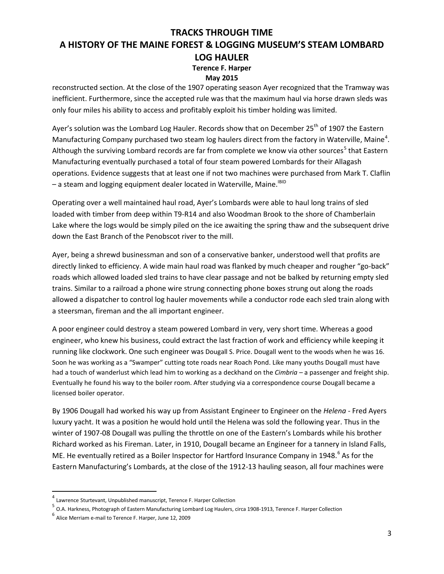#### **May 2015**

reconstructed section. At the close of the 1907 operating season Ayer recognized that the Tramway was inefficient. Furthermore, since the accepted rule was that the maximum haul via horse drawn sleds was only four miles his ability to access and profitably exploit his timber holding was limited.

Ayer's solution was the Lombard Log Hauler. Records show that on December 25<sup>th</sup> of 1907 the Eastern Manufacturing Company purchased two steam log haulers direct from the factory in Waterville, Maine<sup>[4](#page-2-0)</sup>. Although the surviving Lombard records are far from complete we know via other sources<sup>[5](#page-2-1)</sup> that Eastern Manufacturing eventually purchased a total of four steam powered Lombards for their Allagash operations. Evidence suggests that at least one if not two machines were purchased from Mark T. Claflin - a steam and logging equipment dealer located in Waterville, Maine.<sup>IBID</sup>

Operating over a well maintained haul road, Ayer's Lombards were able to haul long trains of sled loaded with timber from deep within T9-R14 and also Woodman Brook to the shore of Chamberlain Lake where the logs would be simply piled on the ice awaiting the spring thaw and the subsequent drive down the East Branch of the Penobscot river to the mill.

Ayer, being a shrewd businessman and son of a conservative banker, understood well that profits are directly linked to efficiency. A wide main haul road was flanked by much cheaper and rougher "go-back" roads which allowed loaded sled trains to have clear passage and not be balked by returning empty sled trains. Similar to a railroad a phone wire strung connecting phone boxes strung out along the roads allowed a dispatcher to control log hauler movements while a conductor rode each sled train along with a steersman, fireman and the all important engineer.

A poor engineer could destroy a steam powered Lombard in very, very short time. Whereas a good engineer, who knew his business, could extract the last fraction of work and efficiency while keeping it running like clockwork. One such engineer was Dougall S. Price. Dougall went to the woods when he was 16. Soon he was working as a "Swamper" cutting tote roads near Roach Pond. Like many youths Dougall must have had a touch of wanderlust which lead him to working as a deckhand on the *Cimbria –* a passenger and freight ship. Eventually he found his way to the boiler room. After studying via a correspondence course Dougall became a licensed boiler operator.

By 1906 Dougall had worked his way up from Assistant Engineer to Engineer on the *Helena -* Fred Ayers luxury yacht. It was a position he would hold until the Helena was sold the following year. Thus in the winter of 1907-08 Dougall was pulling the throttle on one of the Eastern's Lombards while his brother Richard worked as his Fireman. Later, in 1910, Dougall became an Engineer for a tannery in Island Falls, ME. He eventually retired as a Boiler Inspector for Hartford Insurance Company in 1948.<sup>[6](#page-2-2)</sup> As for the Eastern Manufacturing's Lombards, at the close of the 1912-13 hauling season, all four machines were

<span id="page-2-0"></span> $4$  Lawrence Sturtevant, Unpublished manuscript, Terence F. Harper Collection

<span id="page-2-1"></span><sup>5</sup> O.A. Harkness, Photograph of Eastern Manufacturing Lombard Log Haulers, circa 1908-1913, Terence F. Harper Collection

<span id="page-2-2"></span><sup>6</sup> Alice Merriam e-mail to Terence F. Harper, June 12, 2009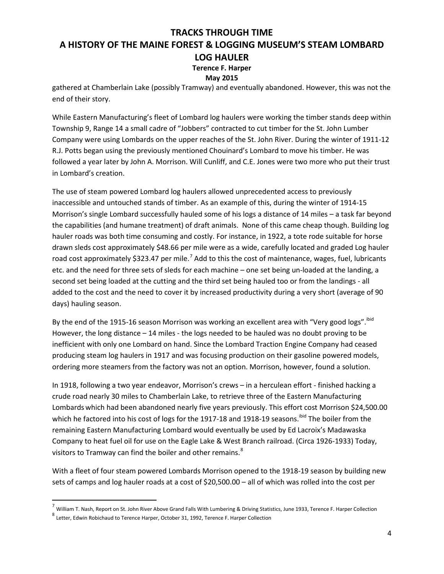#### **May 2015**

gathered at Chamberlain Lake (possibly Tramway) and eventually abandoned. However, this was not the end of their story.

While Eastern Manufacturing's fleet of Lombard log haulers were working the timber stands deep within Township 9, Range 14 a small cadre of "Jobbers" contracted to cut timber for the St. John Lumber Company were using Lombards on the upper reaches of the St. John River. During the winter of 1911-12 R.J. Potts began using the previously mentioned Chouinard's Lombard to move his timber. He was followed a year later by John A. Morrison. Will Cunliff, and C.E. Jones were two more who put their trust in Lombard's creation.

The use of steam powered Lombard log haulers allowed unprecedented access to previously inaccessible and untouched stands of timber. As an example of this, during the winter of 1914-15 Morrison's single Lombard successfully hauled some of his logs a distance of 14 miles – a task far beyond the capabilities (and humane treatment) of draft animals. None of this came cheap though. Building log hauler roads was both time consuming and costly. For instance, in 1922, a tote rode suitable for horse drawn sleds cost approximately \$48.66 per mile were as a wide, carefully located and graded Log hauler road cost approximately \$323.4[7](#page-3-0) per mile.<sup>7</sup> Add to this the cost of maintenance, wages, fuel, lubricants etc. and the need for three sets of sleds for each machine – one set being un-loaded at the landing, a second set being loaded at the cutting and the third set being hauled too or from the landings - all added to the cost and the need to cover it by increased productivity during a very short (average of 90 days) hauling season.

By the end of the 1915-16 season Morrison was working an excellent area with "Very good logs". ibid However, the long distance – 14 miles - the logs needed to be hauled was no doubt proving to be inefficient with only one Lombard on hand. Since the Lombard Traction Engine Company had ceased producing steam log haulers in 1917 and was focusing production on their gasoline powered models, ordering more steamers from the factory was not an option. Morrison, however, found a solution.

In 1918, following a two year endeavor, Morrison's crews – in a herculean effort - finished hacking a crude road nearly 30 miles to Chamberlain Lake, to retrieve three of the Eastern Manufacturing Lombards which had been abandoned nearly five years previously. This effort cost Morrison \$24,500.00 which he factored into his cost of logs for the 1917-18 and 1918-19 seasons. ibid The boiler from the remaining Eastern Manufacturing Lombard would eventually be used by Ed Lacroix's Madawaska Company to heat fuel oil for use on the Eagle Lake & West Branch railroad. (Circa 1926-1933) Today, visitors to Tramway can find the boiler and other remains.<sup>[8](#page-3-1)</sup>

With a fleet of four steam powered Lombards Morrison opened to the 1918-19 season by building new sets of camps and log hauler roads at a cost of \$20,500.00 – all of which was rolled into the cost per

<span id="page-3-0"></span> $^7$  William T. Nash, Report on St. John River Above Grand Falls With Lumbering & Driving Statistics, June 1933, Terence F. Harper Collection

<span id="page-3-1"></span><sup>8</sup> Letter, Edwin Robichaud to Terence Harper, October 31, 1992, Terence F. Harper Collection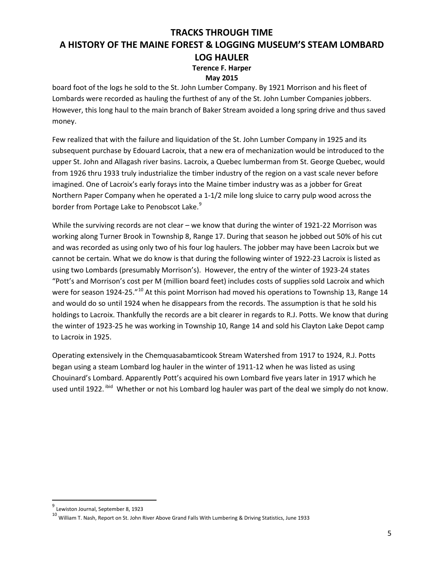### **May 2015**

board foot of the logs he sold to the St. John Lumber Company. By 1921 Morrison and his fleet of Lombards were recorded as hauling the furthest of any of the St. John Lumber Companies jobbers. However, this long haul to the main branch of Baker Stream avoided a long spring drive and thus saved money.

Few realized that with the failure and liquidation of the St. John Lumber Company in 1925 and its subsequent purchase by Edouard Lacroix, that a new era of mechanization would be introduced to the upper St. John and Allagash river basins. Lacroix, a Quebec lumberman from St. George Quebec, would from 1926 thru 1933 truly industrialize the timber industry of the region on a vast scale never before imagined. One of Lacroix's early forays into the Maine timber industry was as a jobber for Great Northern Paper Company when he operated a 1-1/2 mile long sluice to carry pulp wood across the border from Portage Lake to Penobscot Lake.<sup>[9](#page-4-0)</sup>

While the surviving records are not clear – we know that during the winter of 1921-22 Morrison was working along Turner Brook in Township 8, Range 17. During that season he jobbed out 50% of his cut and was recorded as using only two of his four log haulers. The jobber may have been Lacroix but we cannot be certain. What we do know is that during the following winter of 1922-23 Lacroix is listed as using two Lombards (presumably Morrison's). However, the entry of the winter of 1923-24 states "Pott's and Morrison's cost per M (million board feet) includes costs of supplies sold Lacroix and which were for season 1924-25."<sup>[10](#page-4-1)</sup> At this point Morrison had moved his operations to Township 13, Range 14 and would do so until 1924 when he disappears from the records. The assumption is that he sold his holdings to Lacroix. Thankfully the records are a bit clearer in regards to R.J. Potts. We know that during the winter of 1923-25 he was working in Township 10, Range 14 and sold his Clayton Lake Depot camp to Lacroix in 1925.

Operating extensively in the Chemquasabamticook Stream Watershed from 1917 to 1924, R.J. Potts began using a steam Lombard log hauler in the winter of 1911-12 when he was listed as using Chouinard's Lombard. Apparently Pott's acquired his own Lombard five years later in 1917 which he used until 1922. <sup>ibid</sup> Whether or not his Lombard log hauler was part of the deal we simply do not know.

<span id="page-4-0"></span> <sup>9</sup> Lewiston Journal, September 8, 1923

<span id="page-4-1"></span> $^{10}$  William T. Nash, Report on St. John River Above Grand Falls With Lumbering & Driving Statistics, June 1933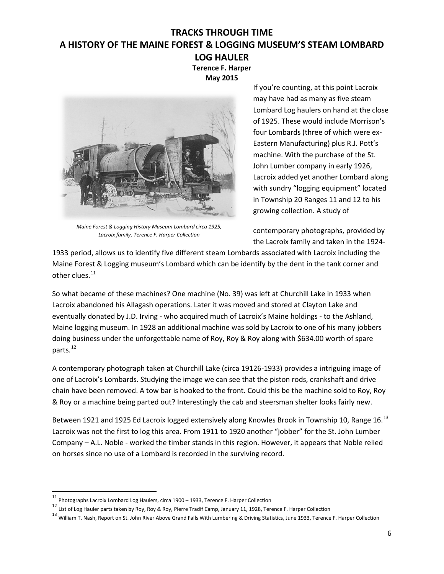**Terence F. Harper May 2015**



*Maine Forest & Logging History Museum Lombard circa 1925, Lacroix family, Terence F. Harper Collection*

If you're counting, at this point Lacroix may have had as many as five steam Lombard Log haulers on hand at the close of 1925. These would include Morrison's four Lombards (three of which were ex-Eastern Manufacturing) plus R.J. Pott's machine. With the purchase of the St. John Lumber company in early 1926, Lacroix added yet another Lombard along with sundry "logging equipment" located in Township 20 Ranges 11 and 12 to his growing collection. A study of

contemporary photographs, provided by the Lacroix family and taken in the 1924-

1933 period, allows us to identify five different steam Lombards associated with Lacroix including the Maine Forest & Logging museum's Lombard which can be identify by the dent in the tank corner and other clues.<sup>[11](#page-5-0)</sup>

So what became of these machines? One machine (No. 39) was left at Churchill Lake in 1933 when Lacroix abandoned his Allagash operations. Later it was moved and stored at Clayton Lake and eventually donated by J.D. Irving - who acquired much of Lacroix's Maine holdings - to the Ashland, Maine logging museum. In 1928 an additional machine was sold by Lacroix to one of his many jobbers doing business under the unforgettable name of Roy, Roy & Roy along with \$634.00 worth of spare parts.<sup>[12](#page-5-1)</sup>

A contemporary photograph taken at Churchill Lake (circa 19126-1933) provides a intriguing image of one of Lacroix's Lombards. Studying the image we can see that the piston rods, crankshaft and drive chain have been removed. A tow bar is hooked to the front. Could this be the machine sold to Roy, Roy & Roy or a machine being parted out? Interestingly the cab and steersman shelter looks fairly new.

Between 1921 and 1925 Ed Lacroix logged extensively along Knowles Brook in Township 10, Range 16.<sup>[13](#page-5-2)</sup> Lacroix was not the first to log this area. From 1911 to 1920 another "jobber" for the St. John Lumber Company – A.L. Noble - worked the timber stands in this region. However, it appears that Noble relied on horses since no use of a Lombard is recorded in the surviving record.

<span id="page-5-0"></span> <sup>11</sup> Photographs Lacroix Lombard Log Haulers, circa 1900 – 1933, Terence F. Harper Collection

<span id="page-5-1"></span><sup>12</sup> List of Log Hauler parts taken by Roy, Roy & Roy, Pierre Tradif Camp, January 11, 1928, Terence F. Harper Collection

<span id="page-5-2"></span><sup>&</sup>lt;sup>13</sup> William T. Nash, Report on St. John River Above Grand Falls With Lumbering & Driving Statistics, June 1933, Terence F. Harper Collection